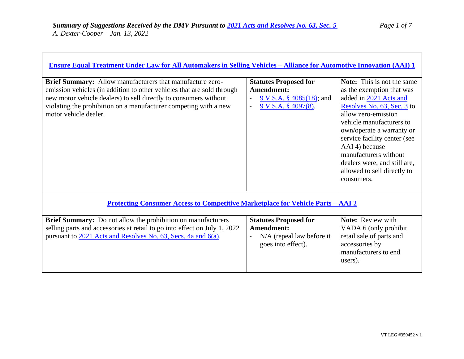| <b>Ensure Equal Treatment Under Law for All Automakers in Selling Vehicles - Alliance for Automotive Innovation (AAI) 1</b>                                                                                                                                                                          |                                                                                                             |                                                                                                                                                                                                                                                                                                                                                                |  |
|------------------------------------------------------------------------------------------------------------------------------------------------------------------------------------------------------------------------------------------------------------------------------------------------------|-------------------------------------------------------------------------------------------------------------|----------------------------------------------------------------------------------------------------------------------------------------------------------------------------------------------------------------------------------------------------------------------------------------------------------------------------------------------------------------|--|
|                                                                                                                                                                                                                                                                                                      |                                                                                                             |                                                                                                                                                                                                                                                                                                                                                                |  |
| Brief Summary: Allow manufacturers that manufacture zero-<br>emission vehicles (in addition to other vehicles that are sold through<br>new motor vehicle dealers) to sell directly to consumers without<br>violating the prohibition on a manufacturer competing with a new<br>motor vehicle dealer. | <b>Statutes Proposed for</b><br>Amendment:<br>$9 \text{ V.S.A. }$ \$ 4085(18); and<br>$9$ V.S.A. § 4097(8). | <b>Note:</b> This is not the same<br>as the exemption that was<br>added in 2021 Acts and<br>Resolves No. 63, Sec. 3 to<br>allow zero-emission<br>vehicle manufacturers to<br>own/operate a warranty or<br>service facility center (see<br>AAI 4) because<br>manufacturers without<br>dealers were, and still are,<br>allowed to sell directly to<br>consumers. |  |
| <u>Protecting Consumer Access to Competitive Marketplace for Vehicle Parts – AAI 2</u>                                                                                                                                                                                                               |                                                                                                             |                                                                                                                                                                                                                                                                                                                                                                |  |
| Brief Summary: Do not allow the prohibition on manufacturers<br>selling parts and accessories at retail to go into effect on July 1, 2022<br>pursuant to 2021 Acts and Resolves No. 63, Secs. 4a and 6(a).                                                                                           | <b>Statutes Proposed for</b><br>Amendment:<br>N/A (repeal law before it<br>goes into effect).               | Note: Review with<br>VADA 6 (only prohibit<br>retail sale of parts and<br>accessories by<br>manufacturers to end<br>users).                                                                                                                                                                                                                                    |  |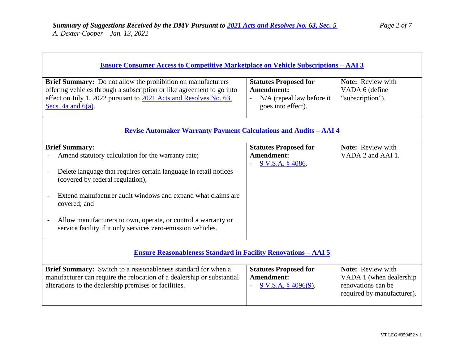| <u>Ensure Consumer Access to Competitive Marketplace on Vehicle Subscriptions - AAI 3</u>                                                                                                                                                  |                                                                                               |                                                                                                  |  |
|--------------------------------------------------------------------------------------------------------------------------------------------------------------------------------------------------------------------------------------------|-----------------------------------------------------------------------------------------------|--------------------------------------------------------------------------------------------------|--|
| <b>Brief Summary:</b> Do not allow the prohibition on manufacturers<br>offering vehicles through a subscription or like agreement to go into<br>effect on July 1, 2022 pursuant to 2021 Acts and Resolves No. 63,<br>Secs. 4a and $6(a)$ . | <b>Statutes Proposed for</b><br>Amendment:<br>N/A (repeal law before it<br>goes into effect). | Note: Review with<br>VADA 6 (define<br>"subscription").                                          |  |
| <u> Revise Automaker Warranty Payment Calculations and Audits - AAI 4</u>                                                                                                                                                                  |                                                                                               |                                                                                                  |  |
| <b>Brief Summary:</b><br>Amend statutory calculation for the warranty rate;                                                                                                                                                                | <b>Statutes Proposed for</b><br>Amendment:<br>$9$ V.S.A. $§$ 4086.                            | Note: Review with<br>VADA 2 and AAI 1.                                                           |  |
| Delete language that requires certain language in retail notices<br>(covered by federal regulation);                                                                                                                                       |                                                                                               |                                                                                                  |  |
| Extend manufacturer audit windows and expand what claims are<br>covered; and                                                                                                                                                               |                                                                                               |                                                                                                  |  |
| Allow manufacturers to own, operate, or control a warranty or<br>service facility if it only services zero-emission vehicles.                                                                                                              |                                                                                               |                                                                                                  |  |
| <b>Ensure Reasonableness Standard in Facility Renovations - AAI 5</b>                                                                                                                                                                      |                                                                                               |                                                                                                  |  |
| Brief Summary: Switch to a reasonableness standard for when a<br>manufacturer can require the relocation of a dealership or substantial<br>alterations to the dealership premises or facilities.                                           | <b>Statutes Proposed for</b><br><b>Amendment:</b><br>9 V.S.A. § 4096(9).                      | Note: Review with<br>VADA 1 (when dealership<br>renovations can be<br>required by manufacturer). |  |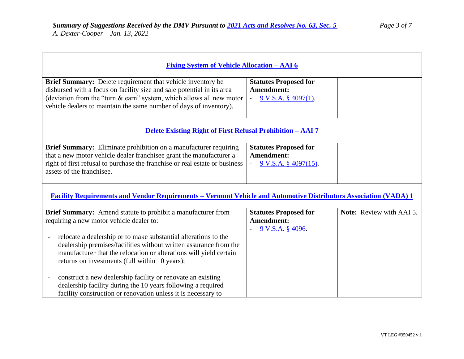$\blacksquare$ 

٦

| <u> Fixing System of Vehicle Allocation – AAI 6</u>                                                                                                                                                                                                                                                                                                                                           |                                                                                      |                          |  |
|-----------------------------------------------------------------------------------------------------------------------------------------------------------------------------------------------------------------------------------------------------------------------------------------------------------------------------------------------------------------------------------------------|--------------------------------------------------------------------------------------|--------------------------|--|
| Brief Summary: Delete requirement that vehicle inventory be<br>disbursed with a focus on facility size and sale potential in its area<br>(deviation from the "turn & earn" system, which allows all new motor<br>vehicle dealers to maintain the same number of days of inventory).                                                                                                           | <b>Statutes Proposed for</b><br>Amendment:<br>$9$ V.S.A. § 4097(1).                  |                          |  |
| <b>Delete Existing Right of First Refusal Prohibition – AAI 7</b>                                                                                                                                                                                                                                                                                                                             |                                                                                      |                          |  |
| Brief Summary: Eliminate prohibition on a manufacturer requiring<br>that a new motor vehicle dealer franchisee grant the manufacturer a<br>right of first refusal to purchase the franchise or real estate or business<br>assets of the franchisee.                                                                                                                                           | <b>Statutes Proposed for</b><br><b>Amendment:</b><br>$9 \text{ V.S.A. }$ \$4097(15). |                          |  |
| Facility Requirements and Vendor Requirements - Vermont Vehicle and Automotive Distributors Association (VADA) 1                                                                                                                                                                                                                                                                              |                                                                                      |                          |  |
| Brief Summary: Amend statute to prohibit a manufacturer from<br>requiring a new motor vehicle dealer to:<br>relocate a dealership or to make substantial alterations to the<br>$\qquad \qquad -$<br>dealership premises/facilities without written assurance from the<br>manufacturer that the relocation or alterations will yield certain<br>returns on investments (full within 10 years); | <b>Statutes Proposed for</b><br><b>Amendment:</b><br>9 V.S.A. § 4096.                | Note: Review with AAI 5. |  |
| construct a new dealership facility or renovate an existing<br>dealership facility during the 10 years following a required<br>facility construction or renovation unless it is necessary to                                                                                                                                                                                                  |                                                                                      |                          |  |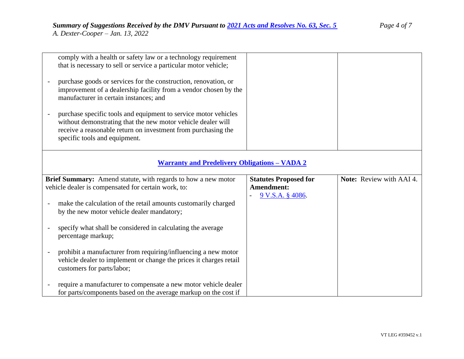| comply with a health or safety law or a technology requirement<br>that is necessary to sell or service a particular motor vehicle;                                                                                                |                                           |                          |  |
|-----------------------------------------------------------------------------------------------------------------------------------------------------------------------------------------------------------------------------------|-------------------------------------------|--------------------------|--|
| purchase goods or services for the construction, renovation, or<br>improvement of a dealership facility from a vendor chosen by the<br>manufacturer in certain instances; and                                                     |                                           |                          |  |
| purchase specific tools and equipment to service motor vehicles<br>without demonstrating that the new motor vehicle dealer will<br>receive a reasonable return on investment from purchasing the<br>specific tools and equipment. |                                           |                          |  |
| <b>Warranty and Predelivery Obligations - VADA 2</b>                                                                                                                                                                              |                                           |                          |  |
| Brief Summary: Amend statute, with regards to how a new motor                                                                                                                                                                     | <b>Statutes Proposed for</b>              | Note: Review with AAI 4. |  |
| vehicle dealer is compensated for certain work, to:                                                                                                                                                                               | <b>Amendment:</b><br>$9$ V.S.A. $§$ 4086. |                          |  |
| make the calculation of the retail amounts customarily charged<br>by the new motor vehicle dealer mandatory;                                                                                                                      |                                           |                          |  |
| specify what shall be considered in calculating the average<br>percentage markup;                                                                                                                                                 |                                           |                          |  |
| prohibit a manufacturer from requiring/influencing a new motor<br>vehicle dealer to implement or change the prices it charges retail<br>customers for parts/labor;                                                                |                                           |                          |  |
| require a manufacturer to compensate a new motor vehicle dealer<br>for parts/components based on the average markup on the cost if                                                                                                |                                           |                          |  |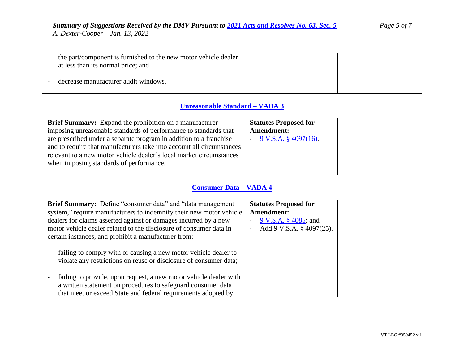that meet or exceed State and federal requirements adopted by

| the part/component is furnished to the new motor vehicle dealer<br>at less than its normal price; and                                                                                                                                                                                                                                                                                                                                                                       |                                                                                                               |  |
|-----------------------------------------------------------------------------------------------------------------------------------------------------------------------------------------------------------------------------------------------------------------------------------------------------------------------------------------------------------------------------------------------------------------------------------------------------------------------------|---------------------------------------------------------------------------------------------------------------|--|
| decrease manufacturer audit windows.                                                                                                                                                                                                                                                                                                                                                                                                                                        |                                                                                                               |  |
| <u><b>Unreasonable Standard - VADA 3</b></u>                                                                                                                                                                                                                                                                                                                                                                                                                                |                                                                                                               |  |
| Brief Summary: Expand the prohibition on a manufacturer<br>imposing unreasonable standards of performance to standards that<br>are prescribed under a separate program in addition to a franchise<br>and to require that manufacturers take into account all circumstances<br>relevant to a new motor vehicle dealer's local market circumstances<br>when imposing standards of performance.                                                                                | <b>Statutes Proposed for</b><br>Amendment:<br>$9$ V.S.A. § 4097(16).                                          |  |
| <b>Consumer Data - VADA 4</b>                                                                                                                                                                                                                                                                                                                                                                                                                                               |                                                                                                               |  |
| Brief Summary: Define "consumer data" and "data management<br>system," require manufacturers to indemnify their new motor vehicle<br>dealers for claims asserted against or damages incurred by a new<br>motor vehicle dealer related to the disclosure of consumer data in<br>certain instances, and prohibit a manufacturer from:<br>failing to comply with or causing a new motor vehicle dealer to<br>violate any restrictions on reuse or disclosure of consumer data; | <b>Statutes Proposed for</b><br><b>Amendment:</b><br><u>9 V.S.A. § 4085</u> ; and<br>Add 9 V.S.A. § 4097(25). |  |
| failing to provide, upon request, a new motor vehicle dealer with<br>a written statement on procedures to safeguard consumer data                                                                                                                                                                                                                                                                                                                                           |                                                                                                               |  |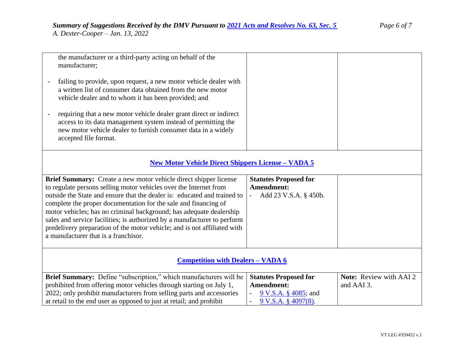|                                                           | the manufacturer or a third-party acting on behalf of the<br>manufacturer;                                                                                                                                                                                                                                                                                                                                                 |                              |                                |
|-----------------------------------------------------------|----------------------------------------------------------------------------------------------------------------------------------------------------------------------------------------------------------------------------------------------------------------------------------------------------------------------------------------------------------------------------------------------------------------------------|------------------------------|--------------------------------|
|                                                           | failing to provide, upon request, a new motor vehicle dealer with<br>a written list of consumer data obtained from the new motor<br>vehicle dealer and to whom it has been provided; and<br>requiring that a new motor vehicle dealer grant direct or indirect<br>access to its data management system instead of permitting the<br>new motor vehicle dealer to furnish consumer data in a widely<br>accepted file format. |                              |                                |
|                                                           |                                                                                                                                                                                                                                                                                                                                                                                                                            |                              |                                |
| <b>New Motor Vehicle Direct Shippers License - VADA 5</b> |                                                                                                                                                                                                                                                                                                                                                                                                                            |                              |                                |
|                                                           | Brief Summary: Create a new motor vehicle direct shipper license                                                                                                                                                                                                                                                                                                                                                           | <b>Statutes Proposed for</b> |                                |
|                                                           | to regulate persons selling motor vehicles over the Internet from                                                                                                                                                                                                                                                                                                                                                          | Amendment:                   |                                |
|                                                           | outside the State and ensure that the dealer is: educated and trained to                                                                                                                                                                                                                                                                                                                                                   | Add 23 V.S.A. § 450b.        |                                |
|                                                           | complete the proper documentation for the sale and financing of                                                                                                                                                                                                                                                                                                                                                            |                              |                                |
|                                                           | motor vehicles; has no criminal background; has adequate dealership                                                                                                                                                                                                                                                                                                                                                        |                              |                                |
|                                                           | sales and service facilities; is authorized by a manufacturer to perform                                                                                                                                                                                                                                                                                                                                                   |                              |                                |
|                                                           | predelivery preparation of the motor vehicle; and is not affiliated with                                                                                                                                                                                                                                                                                                                                                   |                              |                                |
|                                                           | a manufacturer that is a franchisor.                                                                                                                                                                                                                                                                                                                                                                                       |                              |                                |
|                                                           |                                                                                                                                                                                                                                                                                                                                                                                                                            |                              |                                |
|                                                           |                                                                                                                                                                                                                                                                                                                                                                                                                            |                              |                                |
|                                                           | <b>Competition with Dealers - VADA 6</b>                                                                                                                                                                                                                                                                                                                                                                                   |                              |                                |
|                                                           |                                                                                                                                                                                                                                                                                                                                                                                                                            |                              |                                |
|                                                           | Brief Summary: Define "subscription," which manufacturers will be                                                                                                                                                                                                                                                                                                                                                          | <b>Statutes Proposed for</b> | <b>Note:</b> Review with AAI 2 |
|                                                           | prohibited from offering motor vehicles through starting on July 1,                                                                                                                                                                                                                                                                                                                                                        | Amendment:                   | and AAI 3.                     |
|                                                           | 2022; only prohibit manufacturers from selling parts and accessories                                                                                                                                                                                                                                                                                                                                                       | 9 V.S.A. § 4085; and         |                                |
|                                                           | at retail to the end user as opposed to just at retail; and prohibit                                                                                                                                                                                                                                                                                                                                                       | 9 V.S.A. § 4097(8).          |                                |